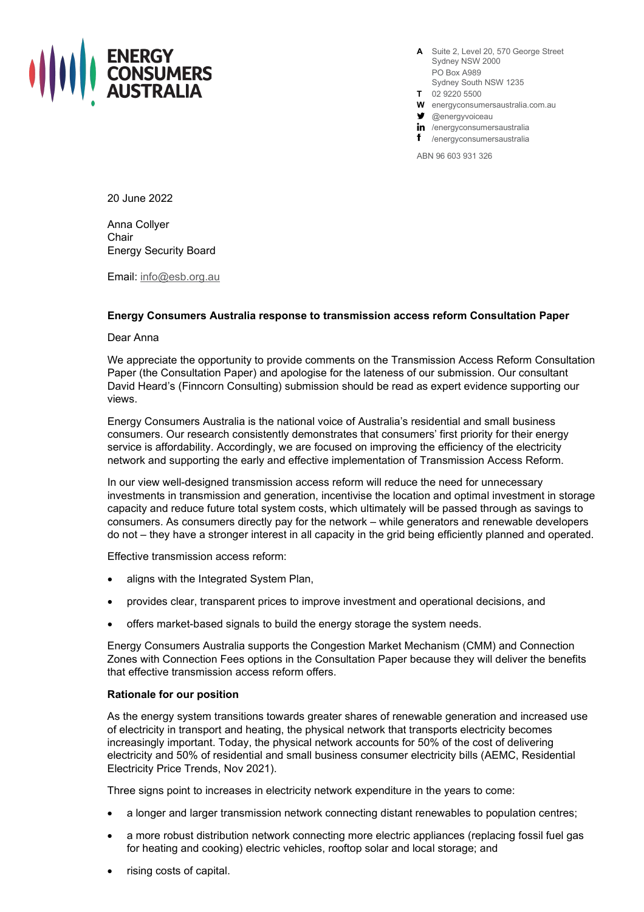

**A** Suite 2, Level 20, 570 George Street Sydney NSW 2000 PO Box A989 Sydney South NSW 1235

- **T** 02 9220 5500
- **W** energyconsumersaustralia.com.au
- $\blacktriangleright$  @energyvoiceau

in /energyconsumersaustralia

/energyconsumersaustralia

ABN 96 603 931 326

20 June 2022

Anna Collyer **Chair** Energy Security Board

Email: [info@esb.org.au](mailto:info@esb.org.au)

## **Energy Consumers Australia response to transmission access reform Consultation Paper**

Dear Anna

We appreciate the opportunity to provide comments on the Transmission Access Reform Consultation Paper (the Consultation Paper) and apologise for the lateness of our submission. Our consultant David Heard's (Finncorn Consulting) submission should be read as expert evidence supporting our views.

Energy Consumers Australia is the national voice of Australia's residential and small business consumers. Our research consistently demonstrates that consumers' first priority for their energy service is affordability. Accordingly, we are focused on improving the efficiency of the electricity network and supporting the early and effective implementation of Transmission Access Reform.

In our view well-designed transmission access reform will reduce the need for unnecessary investments in transmission and generation, incentivise the location and optimal investment in storage capacity and reduce future total system costs, which ultimately will be passed through as savings to consumers. As consumers directly pay for the network – while generators and renewable developers do not – they have a stronger interest in all capacity in the grid being efficiently planned and operated.

Effective transmission access reform:

- aligns with the Integrated System Plan,
- provides clear, transparent prices to improve investment and operational decisions, and
- offers market-based signals to build the energy storage the system needs.

Energy Consumers Australia supports the Congestion Market Mechanism (CMM) and Connection Zones with Connection Fees options in the Consultation Paper because they will deliver the benefits that effective transmission access reform offers.

## **Rationale for our position**

As the energy system transitions towards greater shares of renewable generation and increased use of electricity in transport and heating, the physical network that transports electricity becomes increasingly important. Today, the physical network accounts for 50% of the cost of delivering electricity and 50% of residential and small business consumer electricity bills (AEMC, Residential Electricity Price Trends, Nov 2021).

Three signs point to increases in electricity network expenditure in the years to come:

- a longer and larger transmission network connecting distant renewables to population centres;
- a more robust distribution network connecting more electric appliances (replacing fossil fuel gas for heating and cooking) electric vehicles, rooftop solar and local storage; and
- rising costs of capital.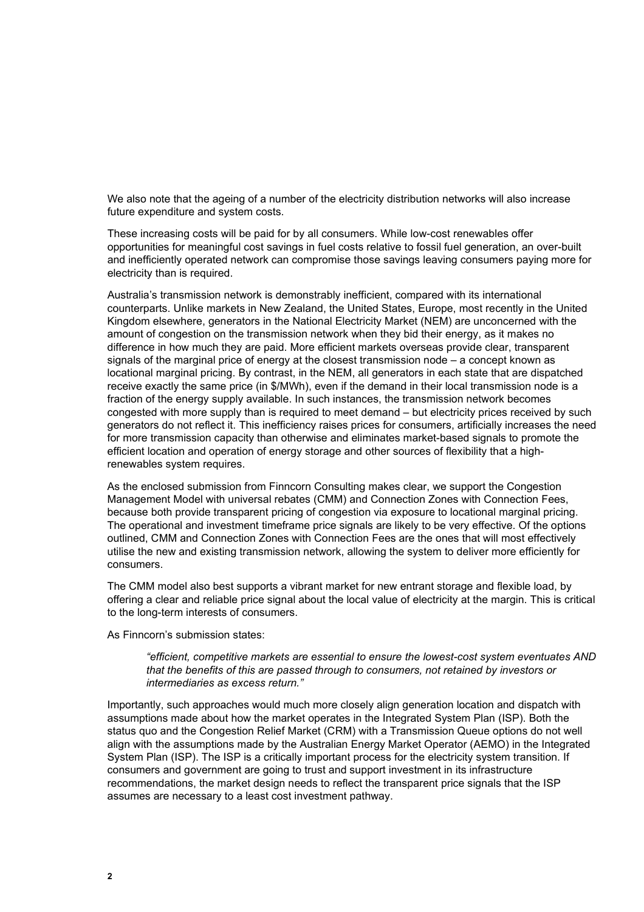We also note that the ageing of a number of the electricity distribution networks will also increase future expenditure and system costs.

These increasing costs will be paid for by all consumers. While low-cost renewables offer opportunities for meaningful cost savings in fuel costs relative to fossil fuel generation, an over-built and inefficiently operated network can compromise those savings leaving consumers paying more for electricity than is required.

Australia's transmission network is demonstrably inefficient, compared with its international counterparts. Unlike markets in New Zealand, the United States, Europe, most recently in the United Kingdom elsewhere, generators in the National Electricity Market (NEM) are unconcerned with the amount of congestion on the transmission network when they bid their energy, as it makes no difference in how much they are paid. More efficient markets overseas provide clear, transparent signals of the marginal price of energy at the closest transmission node – a concept known as locational marginal pricing. By contrast, in the NEM, all generators in each state that are dispatched receive exactly the same price (in \$/MWh), even if the demand in their local transmission node is a fraction of the energy supply available. In such instances, the transmission network becomes congested with more supply than is required to meet demand – but electricity prices received by such generators do not reflect it. This inefficiency raises prices for consumers, artificially increases the need for more transmission capacity than otherwise and eliminates market-based signals to promote the efficient location and operation of energy storage and other sources of flexibility that a highrenewables system requires.

As the enclosed submission from Finncorn Consulting makes clear, we support the Congestion Management Model with universal rebates (CMM) and Connection Zones with Connection Fees, because both provide transparent pricing of congestion via exposure to locational marginal pricing. The operational and investment timeframe price signals are likely to be very effective. Of the options outlined, CMM and Connection Zones with Connection Fees are the ones that will most effectively utilise the new and existing transmission network, allowing the system to deliver more efficiently for consumers.

The CMM model also best supports a vibrant market for new entrant storage and flexible load, by offering a clear and reliable price signal about the local value of electricity at the margin. This is critical to the long-term interests of consumers.

As Finncorn's submission states:

*"efficient, competitive markets are essential to ensure the lowest-cost system eventuates AND that the benefits of this are passed through to consumers, not retained by investors or intermediaries as excess return."*

Importantly, such approaches would much more closely align generation location and dispatch with assumptions made about how the market operates in the Integrated System Plan (ISP). Both the status quo and the Congestion Relief Market (CRM) with a Transmission Queue options do not well align with the assumptions made by the Australian Energy Market Operator (AEMO) in the Integrated System Plan (ISP). The ISP is a critically important process for the electricity system transition. If consumers and government are going to trust and support investment in its infrastructure recommendations, the market design needs to reflect the transparent price signals that the ISP assumes are necessary to a least cost investment pathway.